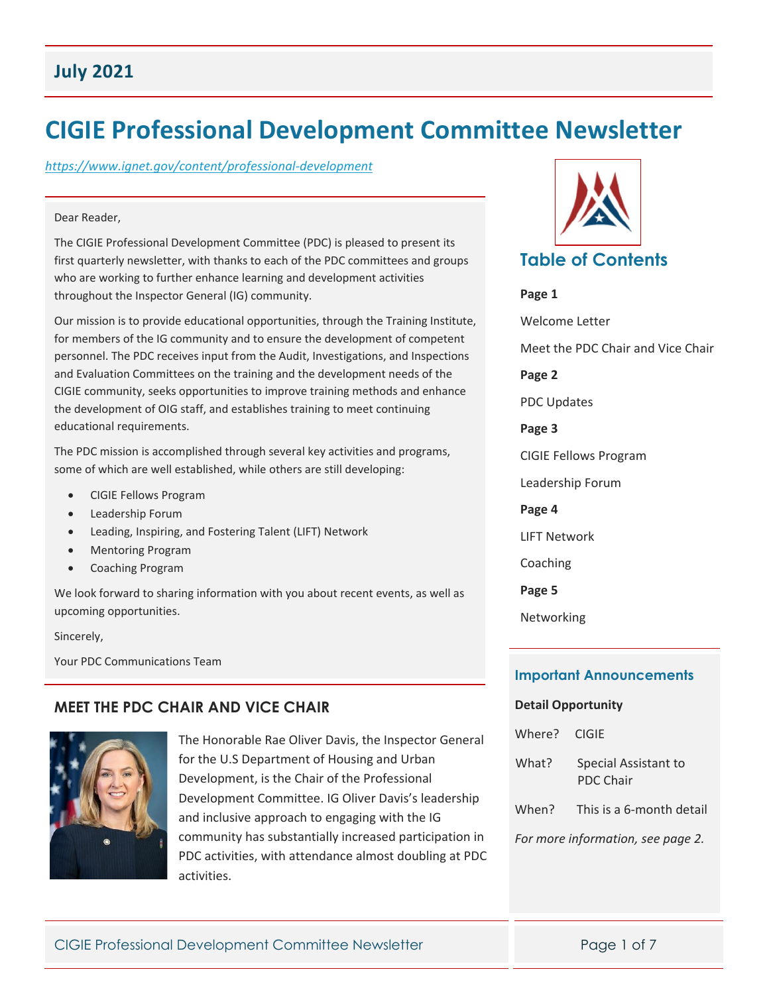## **July 2021**

# **CIGIE Professional Development Committee Newsletter**

#### *[https://www.ignet.gov/content/professional](https://www.ignet.gov/content/professional-development)‐development*

#### Dear Reader,

The CIGIE Professional Development Committee (PDC) is pleased to present its first quarterly newsletter, with thanks to each of the PDC committees and groups who are working to further enhance learning and development activities throughout the Inspector General (IG) community.

Our mission is to provide educational opportunities, through the Training Institute, for members of the IG community and to ensure the development of competent personnel. The PDC receives input from the Audit, Investigations, and Inspections and Evaluation Committees on the training and the development needs of the CIGIE community, seeks opportunities to improve training methods and enhance the development of OIG staff, and establishes training to meet continuing educational requirements.

The PDC mission is accomplished through several key activities and programs, some of which are well established, while others are still developing:

- CIGIE Fellows Program
- Leadership Forum
- Leading, Inspiring, and Fostering Talent (LIFT) Network
- Mentoring Program
- Coaching Program

We look forward to sharing information with you about recent events, as well as upcoming opportunities.

Sincerely,

Your PDC Communications Team

#### **MEET THE PDC CHAIR AND VICE CHAIR**



The Honorable Rae Oliver Davis, the Inspector General for the U.S Department of Housing and Urban Development, is the Chair of the Professional Development Committee. IG Oliver Davis's leadership and inclusive approach to engaging with the IG community has substantially increased participation in PDC activities, with attendance almost doubling at PDC activities.



**Page 1** Welcome Letter Meet the PDC Chair and Vice Chair **Page 2** PDC Updates **Page 3** CIGIE Fellows Program Leadership Forum **Page 4** LIFT Network Coaching

**Page 5**

Networking

#### **Important Announcements**

#### **Detail Opportunity**

| Where? CIGIE                      |                                          |
|-----------------------------------|------------------------------------------|
| What?                             | Special Assistant to<br><b>PDC Chair</b> |
|                                   | When? This is a 6-month detail           |
| For more information, see page 2. |                                          |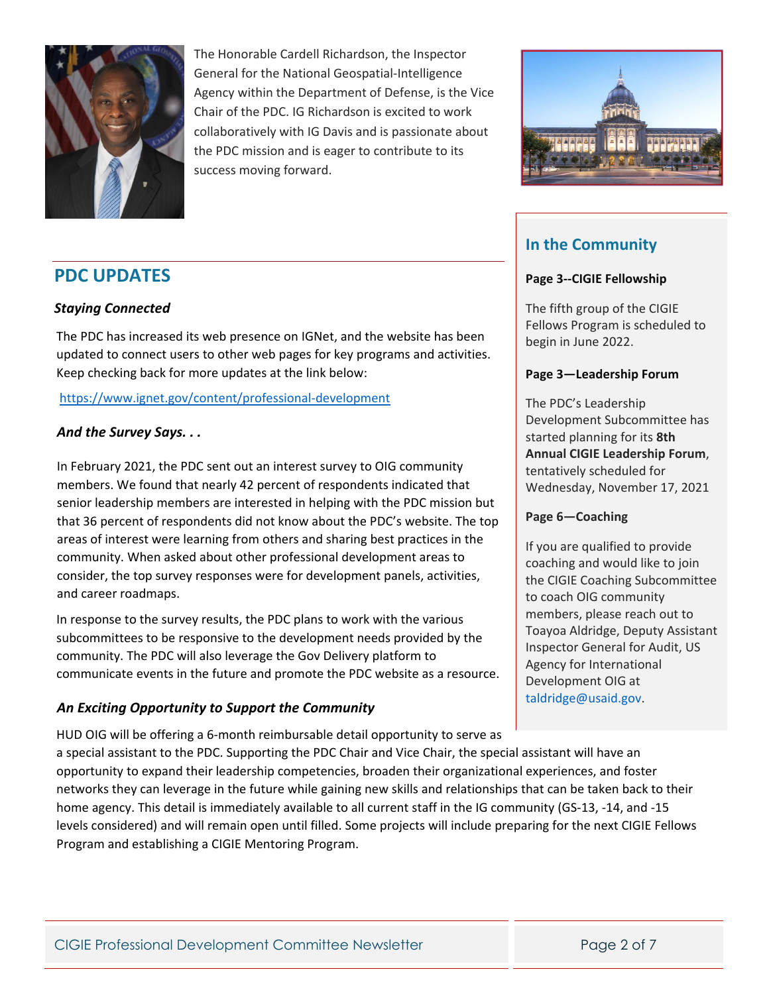

The Honorable Cardell Richardson, the Inspector General for the National Geospatial‐Intelligence Agency within the Department of Defense, is the Vice Chair of the PDC. IG Richardson is excited to work collaboratively with IG Davis and is passionate about the PDC mission and is eager to contribute to its success moving forward.



# **In the Community**

#### **Page 3‐‐CIGIE Fellowship**

The fifth group of the CIGIE Fellows Program is scheduled to begin in June 2022.

#### **Page 3—Leadership Forum**

The PDC's Leadership Development Subcommittee has started planning for its **8th Annual CIGIE Leadership Forum**, tentatively scheduled for Wednesday, November 17, 2021

#### **Page 6—Coaching**

If you are qualified to provide coaching and would like to join the CIGIE Coaching Subcommittee to coach OIG community members, please reach out to Toayoa Aldridge, Deputy Assistant Inspector General for Audit, US Agency for International Development OIG at taldridge@usaid.gov.

# **PDC UPDATES**

#### *Staying Connected*

The PDC has increased its web presence on IGNet, and the website has been updated to connect users to other web pages for key programs and activities. Keep checking back for more updates at the link below:

[https://www.ignet.gov/content/professional](https://www.ignet.gov/content/professional-development)‐development

#### *And the Survey Says. . .*

In February 2021, the PDC sent out an interest survey to OIG community members. We found that nearly 42 percent of respondents indicated that senior leadership members are interested in helping with the PDC mission but that 36 percent of respondents did not know about the PDC's website. The top areas of interest were learning from others and sharing best practices in the community. When asked about other professional development areas to consider, the top survey responses were for development panels, activities, and career roadmaps.

In response to the survey results, the PDC plans to work with the various subcommittees to be responsive to the development needs provided by the community. The PDC will also leverage the Gov Delivery platform to communicate events in the future and promote the PDC website as a resource.

#### *An Exciting Opportunity to Support the Community*

HUD OIG will be offering a 6‐month reimbursable detail opportunity to serve as a special assistant to the PDC. Supporting the PDC Chair and Vice Chair, the special assistant will have an opportunity to expand their leadership competencies, broaden their organizational experiences, and foster networks they can leverage in the future while gaining new skills and relationships that can be taken back to their home agency. This detail is immediately available to all current staff in the IG community (GS‐13, ‐14, and ‐15 levels considered) and will remain open until filled. Some projects will include preparing for the next CIGIE Fellows Program and establishing a CIGIE Mentoring Program.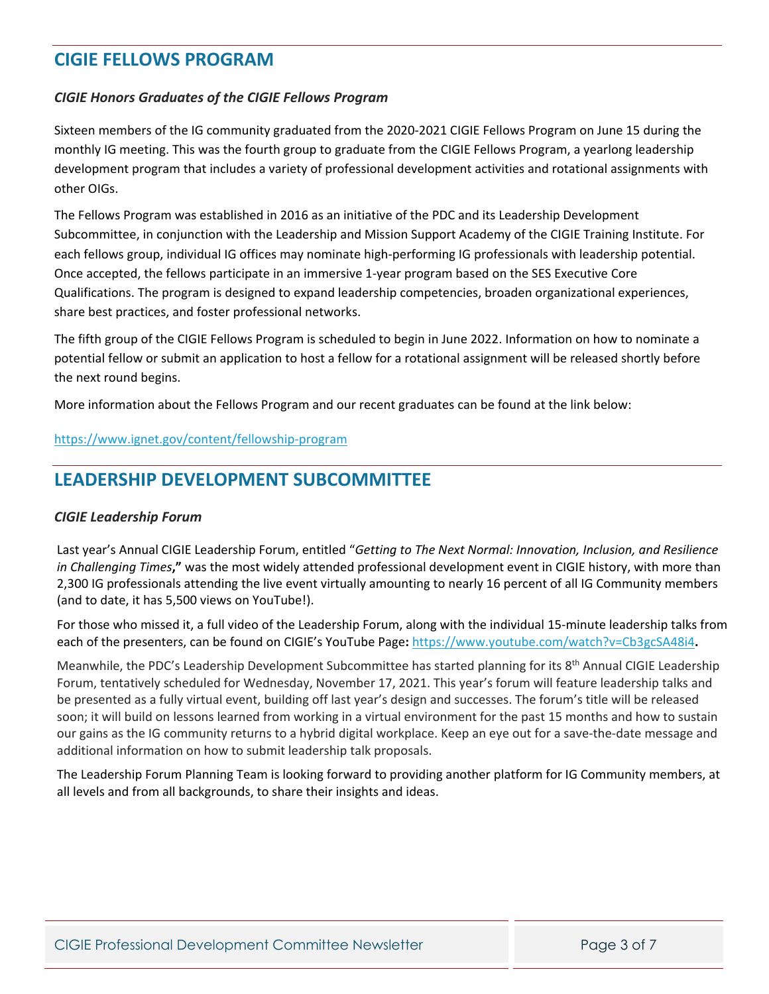# **CIGIE FELLOWS PROGRAM**

#### *CIGIE Honors Graduates of the CIGIE Fellows Program*

Sixteen members of the IG community graduated from the 2020‐2021 CIGIE Fellows Program on June 15 during the monthly IG meeting. This was the fourth group to graduate from the CIGIE Fellows Program, a yearlong leadership development program that includes a variety of professional development activities and rotational assignments with other OIGs.

The Fellows Program was established in 2016 as an initiative of the PDC and its Leadership Development Subcommittee, in conjunction with the Leadership and Mission Support Academy of the CIGIE Training Institute. For each fellows group, individual IG offices may nominate high‐performing IG professionals with leadership potential. Once accepted, the fellows participate in an immersive 1‐year program based on the SES Executive Core Qualifications. The program is designed to expand leadership competencies, broaden organizational experiences, share best practices, and foster professional networks.

The fifth group of the CIGIE Fellows Program is scheduled to begin in June 2022. Information on how to nominate a potential fellow or submit an application to host a fellow for a rotational assignment will be released shortly before the next round begins.

More information about the Fellows Program and our recent graduates can be found at the link below:

#### [https://www.ignet.gov/content/fellowship](https://www.ignet.gov/content/fellowship-program)‐program

# **LEADERSHIP DEVELOPMENT SUBCOMMITTEE**

#### *CIGIE Leadership Forum*

Last year's Annual CIGIE Leadership Forum, entitled "*Getting to The Next Normal: Innovation, Inclusion, and Resilience in Challenging Times***,"** was the most widely attended professional development event in CIGIE history, with more than 2,300 IG professionals attending the live event virtually amounting to nearly 16 percent of all IG Community members (and to date, it has 5,500 views on YouTube!).

For those who missed it, a full video of the Leadership Forum, along with the individual 15‐minute leadership talks from each of the presenters, can be found on CIGIE's YouTube Page**:** https://www.youtube.com/watch?v=Cb3gcSA48i4**.**

Meanwhile, the PDC's Leadership Development Subcommittee has started planning for its 8<sup>th</sup> Annual CIGIE Leadership Forum, tentatively scheduled for Wednesday, November 17, 2021. This year's forum will feature leadership talks and be presented as a fully virtual event, building off last year's design and successes. The forum's title will be released soon; it will build on lessons learned from working in a virtual environment for the past 15 months and how to sustain our gains as the IG community returns to a hybrid digital workplace. Keep an eye out for a save‐the‐date message and additional information on how to submit leadership talk proposals.

The Leadership Forum Planning Team is looking forward to providing another platform for IG Community members, at all levels and from all backgrounds, to share their insights and ideas.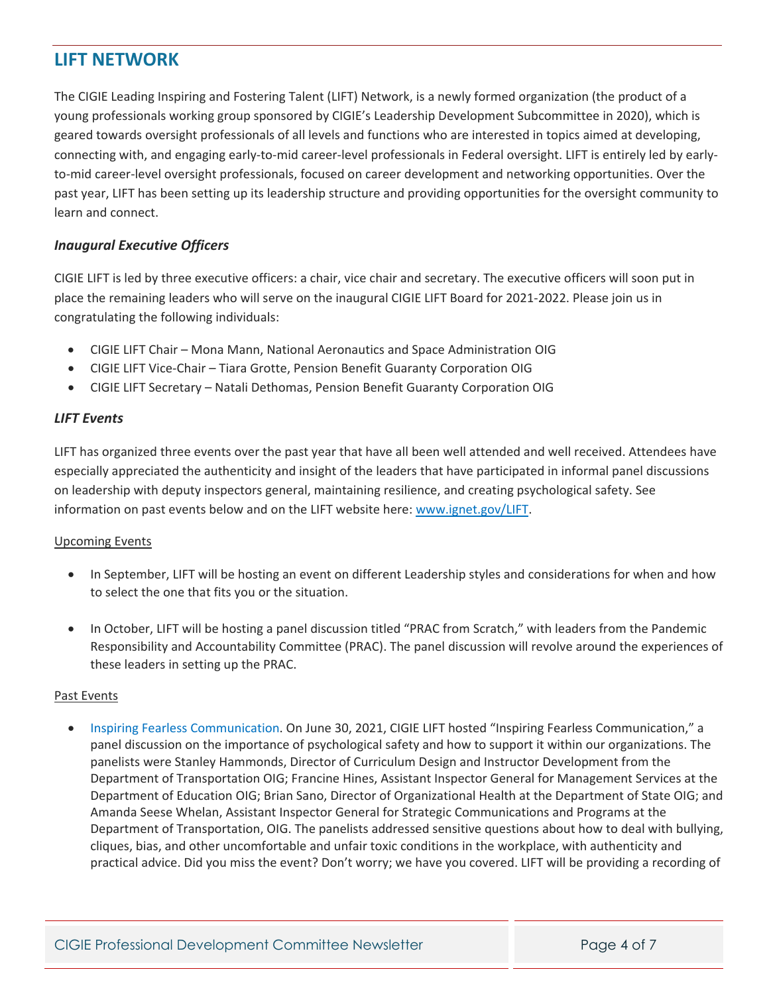# **LIFT NETWORK**

The CIGIE Leading Inspiring and Fostering Talent (LIFT) Network, is a newly formed organization (the product of a young professionals working group sponsored by CIGIE's Leadership Development Subcommittee in 2020), which is geared towards oversight professionals of all levels and functions who are interested in topics aimed at developing, connecting with, and engaging early‐to‐mid career‐level professionals in Federal oversight. LIFT is entirely led by early‐ to-mid career-level oversight professionals, focused on career development and networking opportunities. Over the past year, LIFT has been setting up its leadership structure and providing opportunities for the oversight community to learn and connect.

#### *Inaugural Executive Officers*

CIGIE LIFT is led by three executive officers: a chair, vice chair and secretary. The executive officers will soon put in place the remaining leaders who will serve on the inaugural CIGIE LIFT Board for 2021-2022. Please join us in congratulating the following individuals:

- CIGIE LIFT Chair Mona Mann, National Aeronautics and Space Administration OIG
- CIGIE LIFT Vice-Chair Tiara Grotte, Pension Benefit Guaranty Corporation OIG
- CIGIE LIFT Secretary Natali Dethomas, Pension Benefit Guaranty Corporation OIG

#### *LIFT Events*

LIFT has organized three events over the past year that have all been well attended and well received. Attendees have especially appreciated the authenticity and insight of the leaders that have participated in informal panel discussions on leadership with deputy inspectors general, maintaining resilience, and creating psychological safety. See information on past events below and on the LIFT website here: www.ignet.gov/LIFT.

#### Upcoming Events

- In September, LIFT will be hosting an event on different Leadership styles and considerations for when and how to select the one that fits you or the situation.
- In October, LIFT will be hosting a panel discussion titled "PRAC from Scratch," with leaders from the Pandemic Responsibility and Accountability Committee (PRAC). The panel discussion will revolve around the experiences of these leaders in setting up the PRAC.

#### Past Events

• *Inspiring Fearless Communication.* On June 30, 2021, CIGIE LIFT hosted "Inspiring Fearless Communication," a panel discussion on the importance of psychological safety and how to support it within our organizations. The panelists were Stanley Hammonds, Director of Curriculum Design and Instructor Development from the Department of Transportation OIG; Francine Hines, Assistant Inspector General for Management Services at the Department of Education OIG; Brian Sano, Director of Organizational Health at the Department of State OIG; and Amanda Seese Whelan, Assistant Inspector General for Strategic Communications and Programs at the Department of Transportation, OIG. The panelists addressed sensitive questions about how to deal with bullying, cliques, bias, and other uncomfortable and unfair toxic conditions in the workplace, with authenticity and practical advice. Did you miss the event? Don't worry; we have you covered. LIFT will be providing a recording of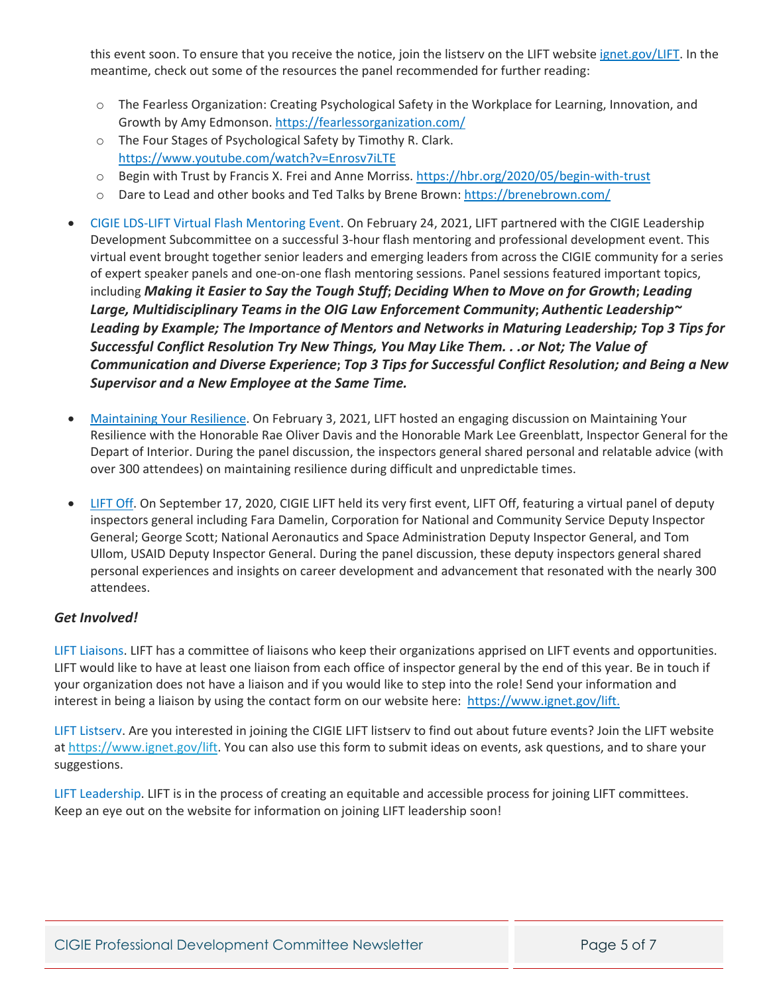this event soon. To ensure that you receive the notice, join the listserv on the LIFT website [ignet.gov/LIFT](https://ignet.gov/LIFT). In the meantime, check out some of the resources the panel recommended for further reading:

- o The Fearless Organization: Creating Psychological Safety in the Workplace for Learning, Innovation, and Growth by Amy Edmonson. https://fearlessorganization.com/
- o The Four Stages of Psychological Safety by Timothy R. Clark. https://www.youtube.com/watch?v=Enrosv7iLTE
- o Begin with Trust by Francis X. Frei and Anne Morriss. [https://hbr.org/2020/05/begin](https://hbr.org/2020/05/begin-with-trust)‐with‐trust
- o Dare to Lead and other books and Ted Talks by Brene Brown: https://brenebrown.com/
- *CIGIE LDS-LIFT Virtual Flash Mentoring Event.* On February 24, 2021, LIFT partnered with the CIGIE Leadership Development Subcommittee on a successful 3‐hour flash mentoring and professional development event. This virtual event brought together senior leaders and emerging leaders from across the CIGIE community for a series of expert speaker panels and one‐on‐one flash mentoring sessions. Panel sessions featured important topics, including *Making it Easier to Say the Tough Stuff***;** *Deciding When to Move on for Growth***;** *Leading Large, Multidisciplinary Teams in the OIG Law Enforcement Community***;** *Authentic Leadership~ Leading by Example; The Importance of Mentors and Networks in Maturing Leadership; Try New* Things, You May Like Them. . . or Not; The Value of Communication and Diverse Experience; Top 3 Tips *for Successful Conflict Resolution; and Being a New Supervisor and a New Employee at the Same Time.*
- *Maintaining Your Resilience*. On February 3, 2021, LIFT hosted an engaging discussion on Maintaining Your Resilience with the Honorable Rae Oliver Davis and the Honorable Mark Lee Greenblatt, Inspector General for the Depart of Interior. During the panel discussion, the inspectors general shared personal and relatable advice (with over 300 attendees) on maintaining resilience during difficult and unpredictable times.
- *LIFT Off*. On September 17, 2020, CIGIE LIFT held its very first event, LIFT Off, featuring a virtual panel of deputy inspectors general including Fara Damelin, Corporation for National and Community Service Deputy Inspector General; George Scott; National Aeronautics and Space Administration Deputy Inspector General, and Tom Ullom, USAID Deputy Inspector General. During the panel discussion, these deputy inspectors general shared personal experiences and insights on career development and advancement that resonated with the nearly 300 attendees.

#### *Get Involved!*

*LIFT Liaisons.* LIFT has a committee of liaisons who keep their organizations apprised on LIFT events and opportunities. LIFT would like to have at least one liaison from each office of inspector general by the end of this year. Be in touch if your organization does not have a liaison and if you would like to step into the role! Send your information and interest in being a liaison by using the contact form on our website here: https://www.ignet.gov/lift.

*LIFT Listserv.* Are you interested in joining the CIGIE LIFT listserv to find out about future events? Join the LIFT website at https://www.ignet.gov/lift. You can also use this form to submit ideas on events, ask questions, and to share your suggestions.

*LIFT Leadership.* LIFT is in the process of creating an equitable and accessible process for joining LIFT committees. Keep an eye out on the website for information on joining LIFT leadership soon!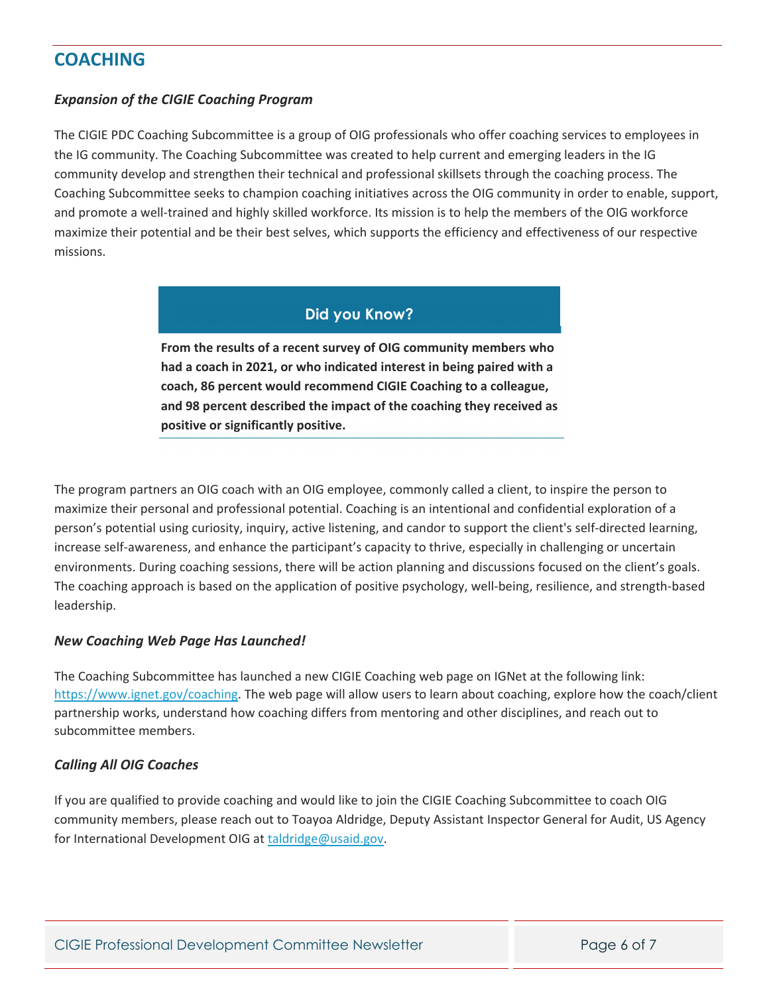# **COACHING**

#### *Expansion of the CIGIE Coaching Program*

The CIGIE PDC Coaching Subcommittee is a group of OIG professionals who offer coaching services to employees in the IG community. The Coaching Subcommittee was created to help current and emerging leaders in the IG community develop and strengthen their technical and professional skillsets through the coaching process. The Coaching Subcommittee seeks to champion coaching initiatives across the OIG community in order to enable, support, and promote a well‐trained and highly skilled workforce. Its mission is to help the members of the OIG workforce maximize their potential and be their best selves, which supports the efficiency and effectiveness of our respective missions.

### **Did you Know?**

**From the results of a recent survey of OIG community members who had a coach in 2021, or who indicated interest in being paired with a coach, 86 percent would recommend CIGIE Coaching to a colleague, and 98 percent described the impact of the coaching they received as positive or significantly positive.**

The program partners an OIG coach with an OIG employee, commonly called a client, to inspire the person to maximize their personal and professional potential. Coaching is an intentional and confidential exploration of a person's potential using curiosity, inquiry, active listening, and candor to support the client's self-directed learning, increase self-awareness, and enhance the participant's capacity to thrive, especially in challenging or uncertain environments. During coaching sessions, there will be action planning and discussions focused on the client's goals. The coaching approach is based on the application of positive psychology, well‐being, resilience, and strength‐based leadership.

#### *New Coaching Web Page Has Launched!*

The Coaching Subcommittee has launched a new CIGIE Coaching web page on IGNet at the following link: https://www.ignet.gov/coaching. The web page will allow users to learn about coaching, explore how the coach/client partnership works, understand how coaching differs from mentoring and other disciplines, and reach out to subcommittee members.

#### *Calling All OIG Coaches*

If you are qualified to provide coaching and would like to join the CIGIE Coaching Subcommittee to coach OIG community members, please reach out to Toayoa Aldridge, Deputy Assistant Inspector General for Audit, US Agency for International Development OIG at taldridge@usaid.gov.